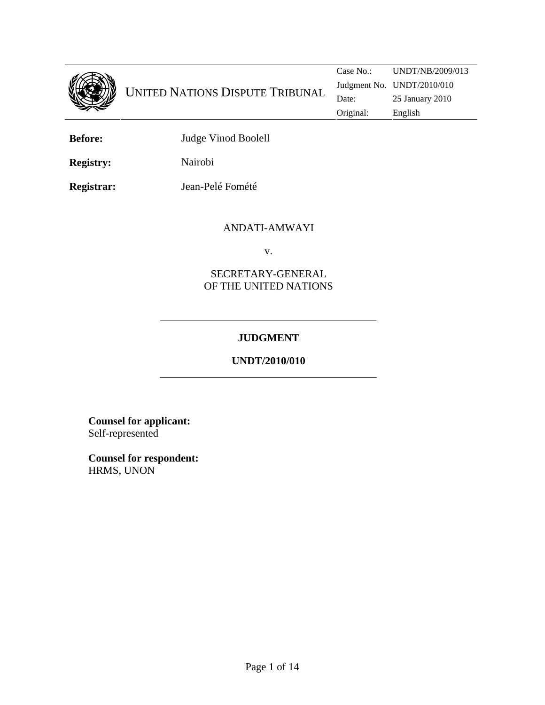

**Before:** Judge Vinod Boolell

**Registry:** Nairobi

**Registrar:** Jean-Pelé Fomété

## ANDATI-AMWAYI

v.

## SECRETARY-GENERAL OF THE UNITED NATIONS

# **JUDGMENT**

# **UNDT/2010/010**

**Counsel for applicant:**  Self-represented

**Counsel for respondent:** HRMS, UNON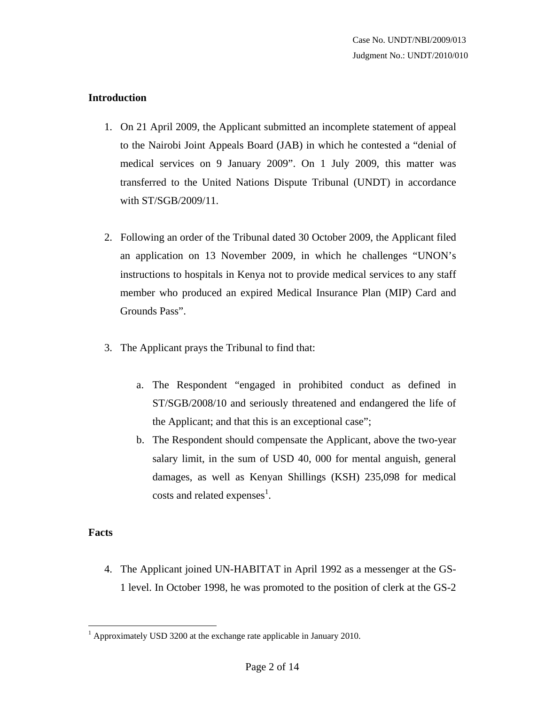### **Introduction**

- 1. On 21 April 2009, the Applicant submitted an incomplete statement of appeal to the Nairobi Joint Appeals Board (JAB) in which he contested a "denial of medical services on 9 January 2009". On 1 July 2009, this matter was transferred to the United Nations Dispute Tribunal (UNDT) in accordance with ST/SGB/2009/11.
- 2. Following an order of the Tribunal dated 30 October 2009, the Applicant filed an application on 13 November 2009, in which he challenges "UNON's instructions to hospitals in Kenya not to provide medical services to any staff member who produced an expired Medical Insurance Plan (MIP) Card and Grounds Pass".
- 3. The Applicant prays the Tribunal to find that:
	- a. The Respondent "engaged in prohibited conduct as defined in ST/SGB/2008/10 and seriously threatened and endangered the life of the Applicant; and that this is an exceptional case";
	- b. The Respondent should compensate the Applicant, above the two-year salary limit, in the sum of USD 40, 000 for mental anguish, general damages, as well as Kenyan Shillings (KSH) 235,098 for medical costs and related expenses<sup>1</sup>.

### **Facts**

<u>.</u>

4. The Applicant joined UN-HABITAT in April 1992 as a messenger at the GS-1 level. In October 1998, he was promoted to the position of clerk at the GS-2

<sup>&</sup>lt;sup>1</sup> Approximately USD 3200 at the exchange rate applicable in January 2010.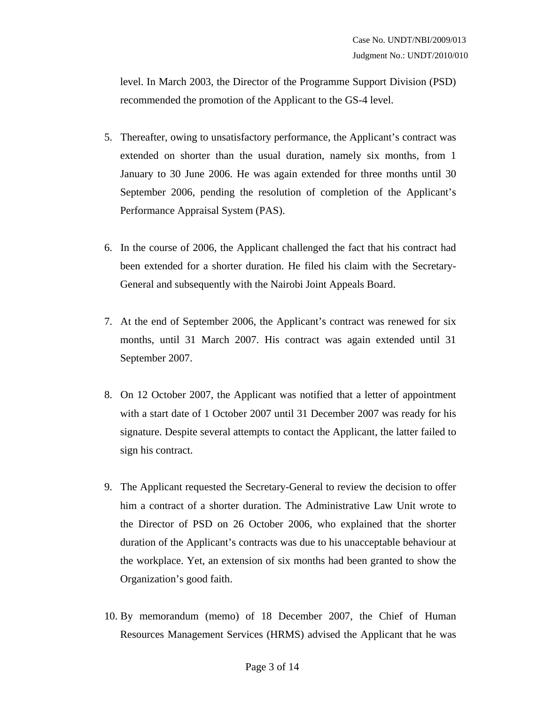level. In March 2003, the Director of the Programme Support Division (PSD) recommended the promotion of the Applicant to the GS-4 level.

- 5. Thereafter, owing to unsatisfactory performance, the Applicant's contract was extended on shorter than the usual duration, namely six months, from 1 January to 30 June 2006. He was again extended for three months until 30 September 2006, pending the resolution of completion of the Applicant's Performance Appraisal System (PAS).
- 6. In the course of 2006, the Applicant challenged the fact that his contract had been extended for a shorter duration. He filed his claim with the Secretary-General and subsequently with the Nairobi Joint Appeals Board.
- 7. At the end of September 2006, the Applicant's contract was renewed for six months, until 31 March 2007. His contract was again extended until 31 September 2007.
- 8. On 12 October 2007, the Applicant was notified that a letter of appointment with a start date of 1 October 2007 until 31 December 2007 was ready for his signature. Despite several attempts to contact the Applicant, the latter failed to sign his contract.
- 9. The Applicant requested the Secretary-General to review the decision to offer him a contract of a shorter duration. The Administrative Law Unit wrote to the Director of PSD on 26 October 2006, who explained that the shorter duration of the Applicant's contracts was due to his unacceptable behaviour at the workplace. Yet, an extension of six months had been granted to show the Organization's good faith.
- 10. By memorandum (memo) of 18 December 2007, the Chief of Human Resources Management Services (HRMS) advised the Applicant that he was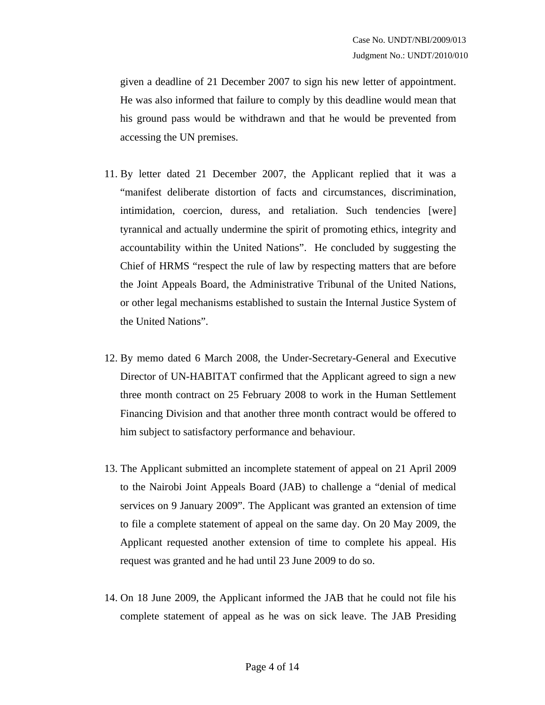given a deadline of 21 December 2007 to sign his new letter of appointment. He was also informed that failure to comply by this deadline would mean that his ground pass would be withdrawn and that he would be prevented from accessing the UN premises.

- 11. By letter dated 21 December 2007, the Applicant replied that it was a "manifest deliberate distortion of facts and circumstances, discrimination, intimidation, coercion, duress, and retaliation. Such tendencies [were] tyrannical and actually undermine the spirit of promoting ethics, integrity and accountability within the United Nations". He concluded by suggesting the Chief of HRMS "respect the rule of law by respecting matters that are before the Joint Appeals Board, the Administrative Tribunal of the United Nations, or other legal mechanisms established to sustain the Internal Justice System of the United Nations".
- 12. By memo dated 6 March 2008, the Under-Secretary-General and Executive Director of UN-HABITAT confirmed that the Applicant agreed to sign a new three month contract on 25 February 2008 to work in the Human Settlement Financing Division and that another three month contract would be offered to him subject to satisfactory performance and behaviour.
- 13. The Applicant submitted an incomplete statement of appeal on 21 April 2009 to the Nairobi Joint Appeals Board (JAB) to challenge a "denial of medical services on 9 January 2009". The Applicant was granted an extension of time to file a complete statement of appeal on the same day. On 20 May 2009, the Applicant requested another extension of time to complete his appeal. His request was granted and he had until 23 June 2009 to do so.
- 14. On 18 June 2009, the Applicant informed the JAB that he could not file his complete statement of appeal as he was on sick leave. The JAB Presiding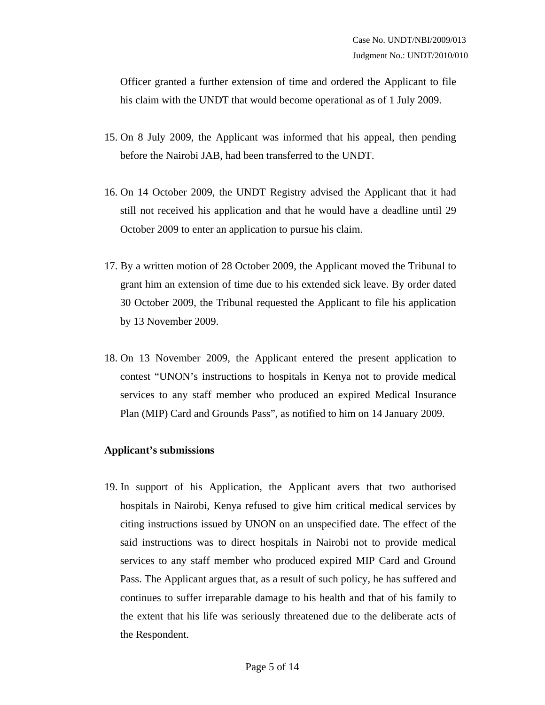Officer granted a further extension of time and ordered the Applicant to file his claim with the UNDT that would become operational as of 1 July 2009.

- 15. On 8 July 2009, the Applicant was informed that his appeal, then pending before the Nairobi JAB, had been transferred to the UNDT.
- 16. On 14 October 2009, the UNDT Registry advised the Applicant that it had still not received his application and that he would have a deadline until 29 October 2009 to enter an application to pursue his claim.
- 17. By a written motion of 28 October 2009, the Applicant moved the Tribunal to grant him an extension of time due to his extended sick leave. By order dated 30 October 2009, the Tribunal requested the Applicant to file his application by 13 November 2009.
- 18. On 13 November 2009, the Applicant entered the present application to contest "UNON's instructions to hospitals in Kenya not to provide medical services to any staff member who produced an expired Medical Insurance Plan (MIP) Card and Grounds Pass", as notified to him on 14 January 2009.

#### **Applicant's submissions**

19. In support of his Application, the Applicant avers that two authorised hospitals in Nairobi, Kenya refused to give him critical medical services by citing instructions issued by UNON on an unspecified date. The effect of the said instructions was to direct hospitals in Nairobi not to provide medical services to any staff member who produced expired MIP Card and Ground Pass. The Applicant argues that, as a result of such policy, he has suffered and continues to suffer irreparable damage to his health and that of his family to the extent that his life was seriously threatened due to the deliberate acts of the Respondent.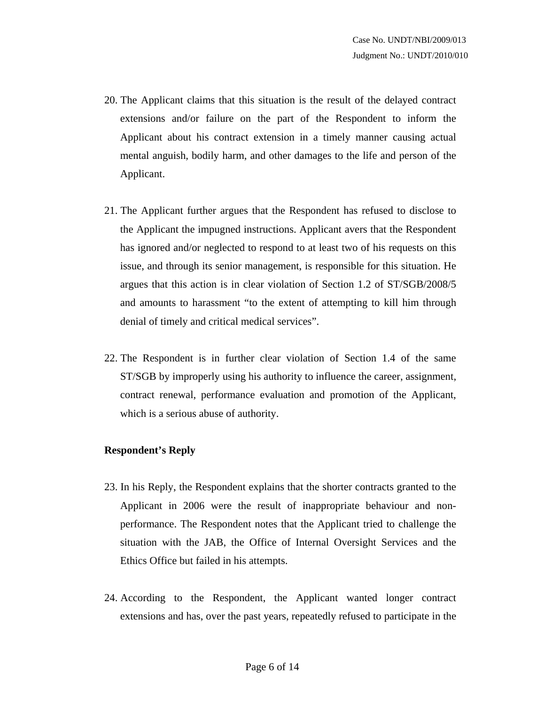- 20. The Applicant claims that this situation is the result of the delayed contract extensions and/or failure on the part of the Respondent to inform the Applicant about his contract extension in a timely manner causing actual mental anguish, bodily harm, and other damages to the life and person of the Applicant.
- 21. The Applicant further argues that the Respondent has refused to disclose to the Applicant the impugned instructions. Applicant avers that the Respondent has ignored and/or neglected to respond to at least two of his requests on this issue, and through its senior management, is responsible for this situation. He argues that this action is in clear violation of Section 1.2 of ST/SGB/2008/5 and amounts to harassment "to the extent of attempting to kill him through denial of timely and critical medical services".
- 22. The Respondent is in further clear violation of Section 1.4 of the same ST/SGB by improperly using his authority to influence the career, assignment, contract renewal, performance evaluation and promotion of the Applicant, which is a serious abuse of authority.

#### **Respondent's Reply**

- 23. In his Reply, the Respondent explains that the shorter contracts granted to the Applicant in 2006 were the result of inappropriate behaviour and nonperformance. The Respondent notes that the Applicant tried to challenge the situation with the JAB, the Office of Internal Oversight Services and the Ethics Office but failed in his attempts.
- 24. According to the Respondent, the Applicant wanted longer contract extensions and has, over the past years, repeatedly refused to participate in the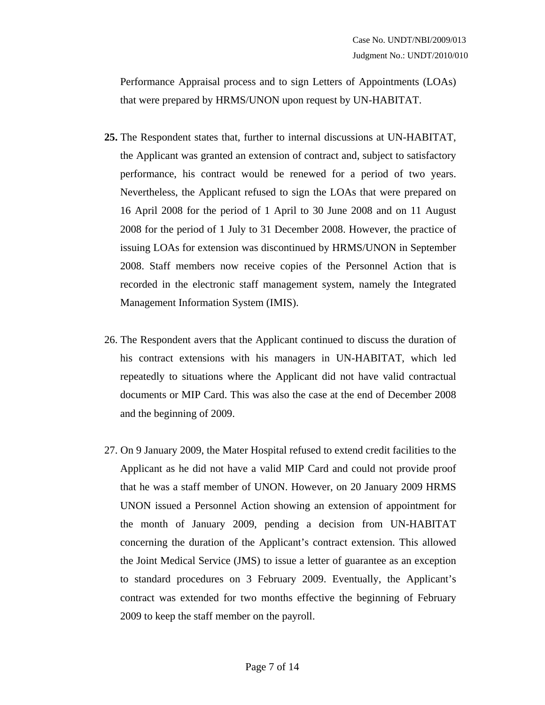Performance Appraisal process and to sign Letters of Appointments (LOAs) that were prepared by HRMS/UNON upon request by UN-HABITAT.

- **25.** The Respondent states that, further to internal discussions at UN-HABITAT, the Applicant was granted an extension of contract and, subject to satisfactory performance, his contract would be renewed for a period of two years. Nevertheless, the Applicant refused to sign the LOAs that were prepared on 16 April 2008 for the period of 1 April to 30 June 2008 and on 11 August 2008 for the period of 1 July to 31 December 2008. However, the practice of issuing LOAs for extension was discontinued by HRMS/UNON in September 2008. Staff members now receive copies of the Personnel Action that is recorded in the electronic staff management system, namely the Integrated Management Information System (IMIS).
- 26. The Respondent avers that the Applicant continued to discuss the duration of his contract extensions with his managers in UN-HABITAT, which led repeatedly to situations where the Applicant did not have valid contractual documents or MIP Card. This was also the case at the end of December 2008 and the beginning of 2009.
- 27. On 9 January 2009, the Mater Hospital refused to extend credit facilities to the Applicant as he did not have a valid MIP Card and could not provide proof that he was a staff member of UNON. However, on 20 January 2009 HRMS UNON issued a Personnel Action showing an extension of appointment for the month of January 2009, pending a decision from UN-HABITAT concerning the duration of the Applicant's contract extension. This allowed the Joint Medical Service (JMS) to issue a letter of guarantee as an exception to standard procedures on 3 February 2009. Eventually, the Applicant's contract was extended for two months effective the beginning of February 2009 to keep the staff member on the payroll.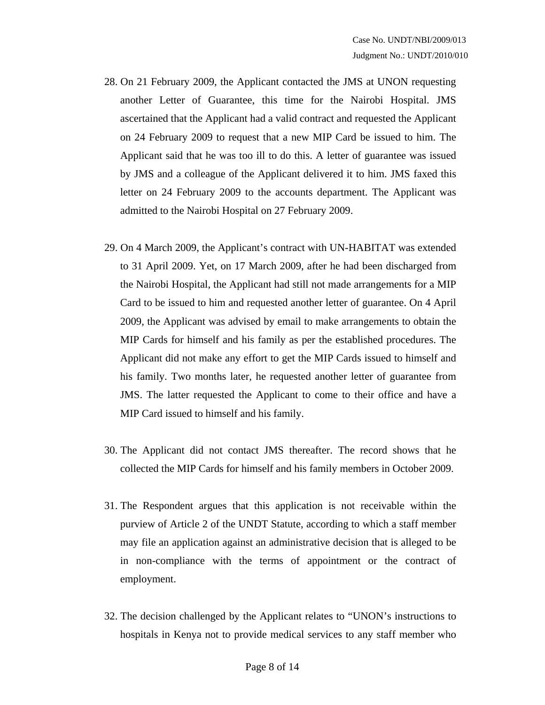- 28. On 21 February 2009, the Applicant contacted the JMS at UNON requesting another Letter of Guarantee, this time for the Nairobi Hospital. JMS ascertained that the Applicant had a valid contract and requested the Applicant on 24 February 2009 to request that a new MIP Card be issued to him. The Applicant said that he was too ill to do this. A letter of guarantee was issued by JMS and a colleague of the Applicant delivered it to him. JMS faxed this letter on 24 February 2009 to the accounts department. The Applicant was admitted to the Nairobi Hospital on 27 February 2009.
- 29. On 4 March 2009, the Applicant's contract with UN-HABITAT was extended to 31 April 2009. Yet, on 17 March 2009, after he had been discharged from the Nairobi Hospital, the Applicant had still not made arrangements for a MIP Card to be issued to him and requested another letter of guarantee. On 4 April 2009, the Applicant was advised by email to make arrangements to obtain the MIP Cards for himself and his family as per the established procedures. The Applicant did not make any effort to get the MIP Cards issued to himself and his family. Two months later, he requested another letter of guarantee from JMS. The latter requested the Applicant to come to their office and have a MIP Card issued to himself and his family.
- 30. The Applicant did not contact JMS thereafter. The record shows that he collected the MIP Cards for himself and his family members in October 2009.
- 31. The Respondent argues that this application is not receivable within the purview of Article 2 of the UNDT Statute, according to which a staff member may file an application against an administrative decision that is alleged to be in non-compliance with the terms of appointment or the contract of employment.
- 32. The decision challenged by the Applicant relates to "UNON's instructions to hospitals in Kenya not to provide medical services to any staff member who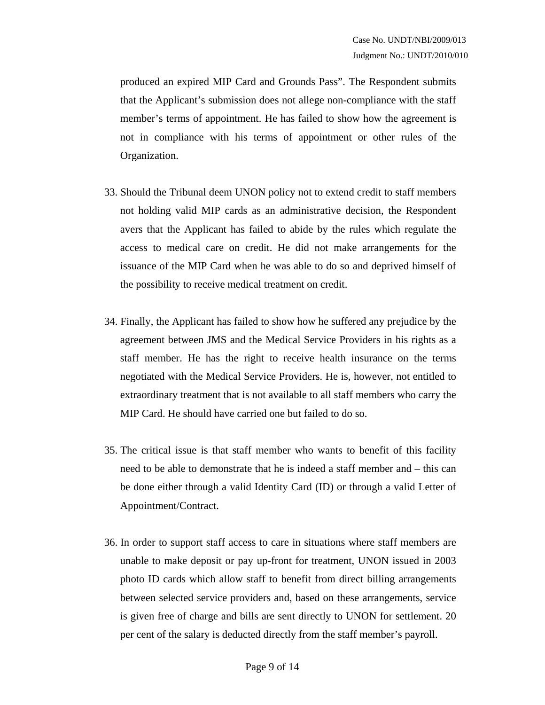produced an expired MIP Card and Grounds Pass". The Respondent submits that the Applicant's submission does not allege non-compliance with the staff member's terms of appointment. He has failed to show how the agreement is not in compliance with his terms of appointment or other rules of the Organization.

- 33. Should the Tribunal deem UNON policy not to extend credit to staff members not holding valid MIP cards as an administrative decision, the Respondent avers that the Applicant has failed to abide by the rules which regulate the access to medical care on credit. He did not make arrangements for the issuance of the MIP Card when he was able to do so and deprived himself of the possibility to receive medical treatment on credit.
- 34. Finally, the Applicant has failed to show how he suffered any prejudice by the agreement between JMS and the Medical Service Providers in his rights as a staff member. He has the right to receive health insurance on the terms negotiated with the Medical Service Providers. He is, however, not entitled to extraordinary treatment that is not available to all staff members who carry the MIP Card. He should have carried one but failed to do so.
- 35. The critical issue is that staff member who wants to benefit of this facility need to be able to demonstrate that he is indeed a staff member and – this can be done either through a valid Identity Card (ID) or through a valid Letter of Appointment/Contract.
- 36. In order to support staff access to care in situations where staff members are unable to make deposit or pay up-front for treatment, UNON issued in 2003 photo ID cards which allow staff to benefit from direct billing arrangements between selected service providers and, based on these arrangements, service is given free of charge and bills are sent directly to UNON for settlement. 20 per cent of the salary is deducted directly from the staff member's payroll.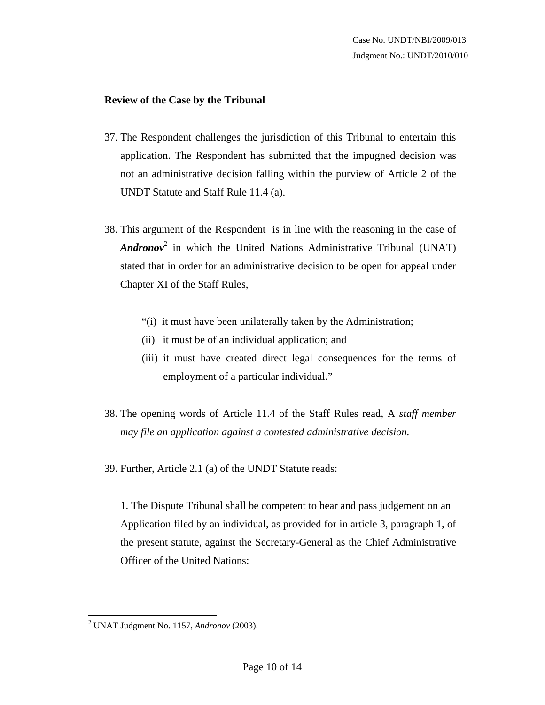#### **Review of the Case by the Tribunal**

- 37. The Respondent challenges the jurisdiction of this Tribunal to entertain this application. The Respondent has submitted that the impugned decision was not an administrative decision falling within the purview of Article 2 of the UNDT Statute and Staff Rule 11.4 (a).
- 38. This argument of the Respondent is in line with the reasoning in the case of *Andronov*<sup>2</sup> in which the United Nations Administrative Tribunal (UNAT) stated that in order for an administrative decision to be open for appeal under Chapter XI of the Staff Rules,
	- "(i) it must have been unilaterally taken by the Administration;
	- (ii) it must be of an individual application; and
	- (iii) it must have created direct legal consequences for the terms of employment of a particular individual."
- 38. The opening words of Article 11.4 of the Staff Rules read, A *staff member may file an application against a contested administrative decision.*
- 39. Further, Article 2.1 (a) of the UNDT Statute reads:

1. The Dispute Tribunal shall be competent to hear and pass judgement on an Application filed by an individual, as provided for in article 3, paragraph 1, of the present statute, against the Secretary-General as the Chief Administrative Officer of the United Nations:

 2 UNAT Judgment No. 1157, *Andronov* (2003).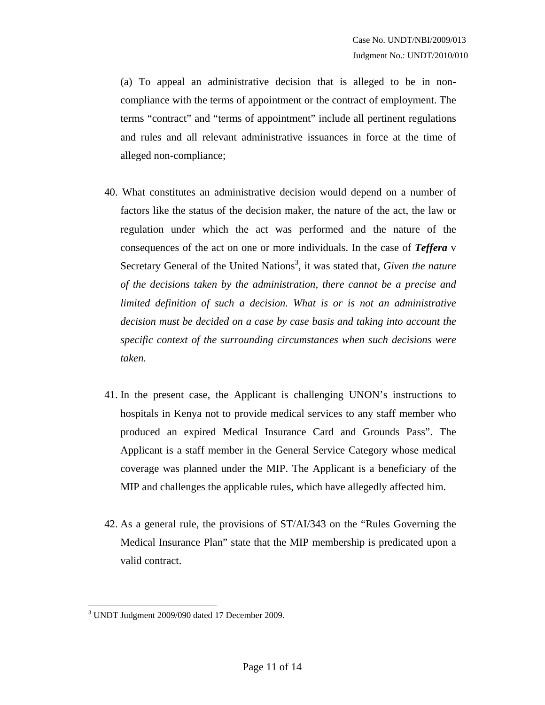(a) To appeal an administrative decision that is alleged to be in noncompliance with the terms of appointment or the contract of employment. The terms "contract" and "terms of appointment" include all pertinent regulations and rules and all relevant administrative issuances in force at the time of alleged non-compliance;

- 40. What constitutes an administrative decision would depend on a number of factors like the status of the decision maker, the nature of the act, the law or regulation under which the act was performed and the nature of the consequences of the act on one or more individuals. In the case of *Teffera* v Secretary General of the United Nations<sup>3</sup>, it was stated that, *Given the nature of the decisions taken by the administration, there cannot be a precise and limited definition of such a decision. What is or is not an administrative decision must be decided on a case by case basis and taking into account the specific context of the surrounding circumstances when such decisions were taken.*
- 41. In the present case, the Applicant is challenging UNON's instructions to hospitals in Kenya not to provide medical services to any staff member who produced an expired Medical Insurance Card and Grounds Pass". The Applicant is a staff member in the General Service Category whose medical coverage was planned under the MIP. The Applicant is a beneficiary of the MIP and challenges the applicable rules, which have allegedly affected him.
- 42. As a general rule, the provisions of ST/AI/343 on the "Rules Governing the Medical Insurance Plan" state that the MIP membership is predicated upon a valid contract.

<sup>1</sup> 3 UNDT Judgment 2009/090 dated 17 December 2009.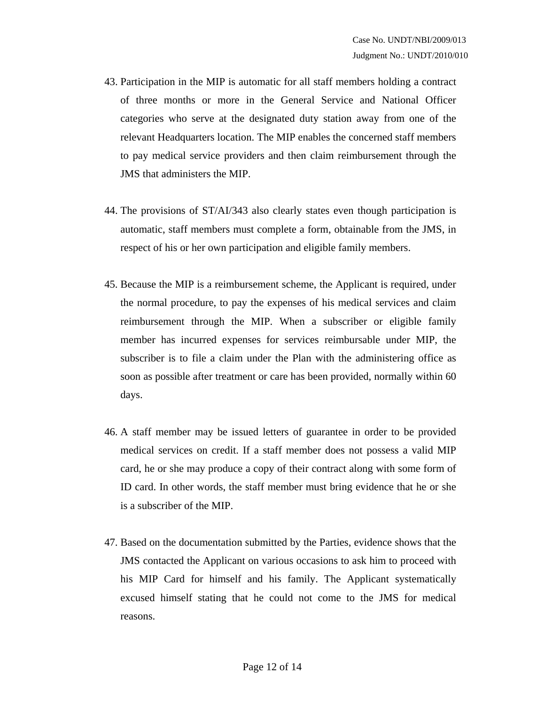- 43. Participation in the MIP is automatic for all staff members holding a contract of three months or more in the General Service and National Officer categories who serve at the designated duty station away from one of the relevant Headquarters location. The MIP enables the concerned staff members to pay medical service providers and then claim reimbursement through the JMS that administers the MIP.
- 44. The provisions of ST/AI/343 also clearly states even though participation is automatic, staff members must complete a form, obtainable from the JMS, in respect of his or her own participation and eligible family members.
- 45. Because the MIP is a reimbursement scheme, the Applicant is required, under the normal procedure, to pay the expenses of his medical services and claim reimbursement through the MIP. When a subscriber or eligible family member has incurred expenses for services reimbursable under MIP, the subscriber is to file a claim under the Plan with the administering office as soon as possible after treatment or care has been provided, normally within 60 days.
- 46. A staff member may be issued letters of guarantee in order to be provided medical services on credit. If a staff member does not possess a valid MIP card, he or she may produce a copy of their contract along with some form of ID card. In other words, the staff member must bring evidence that he or she is a subscriber of the MIP.
- 47. Based on the documentation submitted by the Parties, evidence shows that the JMS contacted the Applicant on various occasions to ask him to proceed with his MIP Card for himself and his family. The Applicant systematically excused himself stating that he could not come to the JMS for medical reasons.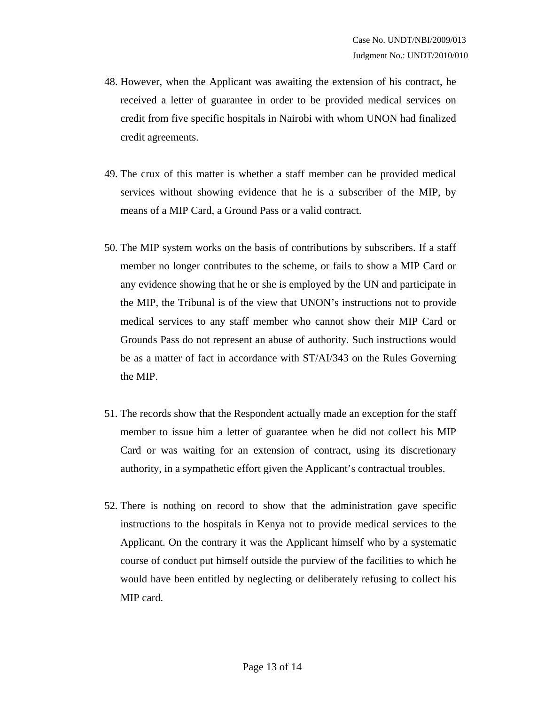- 48. However, when the Applicant was awaiting the extension of his contract, he received a letter of guarantee in order to be provided medical services on credit from five specific hospitals in Nairobi with whom UNON had finalized credit agreements.
- 49. The crux of this matter is whether a staff member can be provided medical services without showing evidence that he is a subscriber of the MIP, by means of a MIP Card, a Ground Pass or a valid contract.
- 50. The MIP system works on the basis of contributions by subscribers. If a staff member no longer contributes to the scheme, or fails to show a MIP Card or any evidence showing that he or she is employed by the UN and participate in the MIP, the Tribunal is of the view that UNON's instructions not to provide medical services to any staff member who cannot show their MIP Card or Grounds Pass do not represent an abuse of authority. Such instructions would be as a matter of fact in accordance with ST/AI/343 on the Rules Governing the MIP.
- 51. The records show that the Respondent actually made an exception for the staff member to issue him a letter of guarantee when he did not collect his MIP Card or was waiting for an extension of contract, using its discretionary authority, in a sympathetic effort given the Applicant's contractual troubles.
- 52. There is nothing on record to show that the administration gave specific instructions to the hospitals in Kenya not to provide medical services to the Applicant. On the contrary it was the Applicant himself who by a systematic course of conduct put himself outside the purview of the facilities to which he would have been entitled by neglecting or deliberately refusing to collect his MIP card.